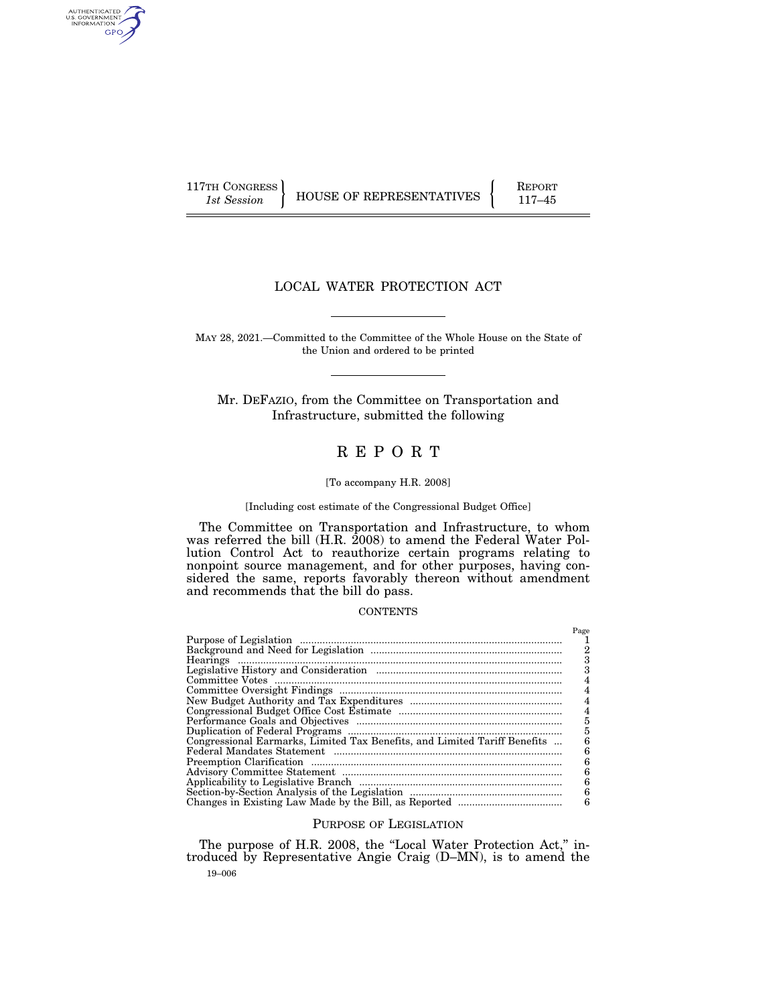AUTHENTICATED<br>U.S. GOVERNMENT<br>INFORMATION GPO

117TH CONGRESS **REPORT 117-45** HOUSE OF REPRESENTATIVES **117–45** 

# LOCAL WATER PROTECTION ACT

MAY 28, 2021.—Committed to the Committee of the Whole House on the State of the Union and ordered to be printed

Mr. DEFAZIO, from the Committee on Transportation and Infrastructure, submitted the following

# R E P O R T

#### [To accompany H.R. 2008]

[Including cost estimate of the Congressional Budget Office]

The Committee on Transportation and Infrastructure, to whom was referred the bill (H.R. 2008) to amend the Federal Water Pollution Control Act to reauthorize certain programs relating to nonpoint source management, and for other purposes, having considered the same, reports favorably thereon without amendment and recommends that the bill do pass.

# **CONTENTS**

|                                                                           | Page           |
|---------------------------------------------------------------------------|----------------|
|                                                                           |                |
|                                                                           | 2              |
|                                                                           | 3              |
|                                                                           | 3              |
|                                                                           |                |
|                                                                           |                |
|                                                                           | 4              |
|                                                                           | $\overline{4}$ |
|                                                                           | 5              |
|                                                                           | 5              |
| Congressional Earmarks, Limited Tax Benefits, and Limited Tariff Benefits | 6              |
|                                                                           | 6              |
|                                                                           | 6              |
|                                                                           | 6              |
|                                                                           | 6              |
|                                                                           | 6              |
|                                                                           | 6              |

# PURPOSE OF LEGISLATION

19–006 The purpose of H.R. 2008, the "Local Water Protection Act," introduced by Representative Angie Craig (D–MN), is to amend the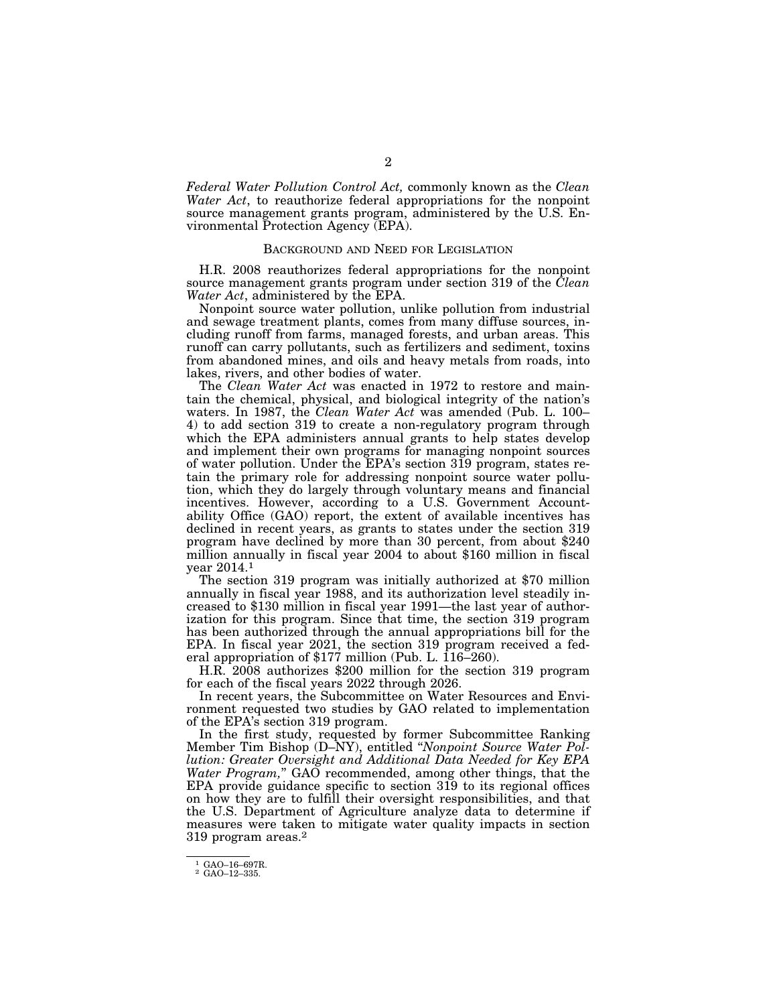*Federal Water Pollution Control Act,* commonly known as the *Clean Water Act*, to reauthorize federal appropriations for the nonpoint source management grants program, administered by the U.S. Environmental Protection Agency (EPA).

## BACKGROUND AND NEED FOR LEGISLATION

H.R. 2008 reauthorizes federal appropriations for the nonpoint source management grants program under section 319 of the *Clean Water Act*, administered by the EPA.

Nonpoint source water pollution, unlike pollution from industrial and sewage treatment plants, comes from many diffuse sources, including runoff from farms, managed forests, and urban areas. This runoff can carry pollutants, such as fertilizers and sediment, toxins from abandoned mines, and oils and heavy metals from roads, into lakes, rivers, and other bodies of water.

The *Clean Water Act* was enacted in 1972 to restore and maintain the chemical, physical, and biological integrity of the nation's waters. In 1987, the *Clean Water Act* was amended (Pub. L. 100– 4) to add section 319 to create a non-regulatory program through which the EPA administers annual grants to help states develop and implement their own programs for managing nonpoint sources of water pollution. Under the EPA's section 319 program, states retain the primary role for addressing nonpoint source water pollution, which they do largely through voluntary means and financial incentives. However, according to a U.S. Government Accountability Office (GAO) report, the extent of available incentives has declined in recent years, as grants to states under the section 319 program have declined by more than 30 percent, from about \$240 million annually in fiscal year 2004 to about \$160 million in fiscal year 2014.1

The section 319 program was initially authorized at \$70 million annually in fiscal year 1988, and its authorization level steadily increased to \$130 million in fiscal year 1991—the last year of authorization for this program. Since that time, the section 319 program has been authorized through the annual appropriations bill for the EPA. In fiscal year 2021, the section 319 program received a federal appropriation of \$177 million (Pub. L. 116–260).

H.R. 2008 authorizes \$200 million for the section 319 program for each of the fiscal years 2022 through 2026.

In recent years, the Subcommittee on Water Resources and Environment requested two studies by GAO related to implementation of the EPA's section 319 program.

In the first study, requested by former Subcommittee Ranking Member Tim Bishop (D–NY), entitled ''*Nonpoint Source Water Pollution: Greater Oversight and Additional Data Needed for Key EPA Water Program,*'' GAO recommended, among other things, that the EPA provide guidance specific to section 319 to its regional offices on how they are to fulfill their oversight responsibilities, and that the U.S. Department of Agriculture analyze data to determine if measures were taken to mitigate water quality impacts in section 319 program areas.2

 $^{\rm 1}$  GAO–16–697R. <br> $^{\rm 2}$  GAO–12–335.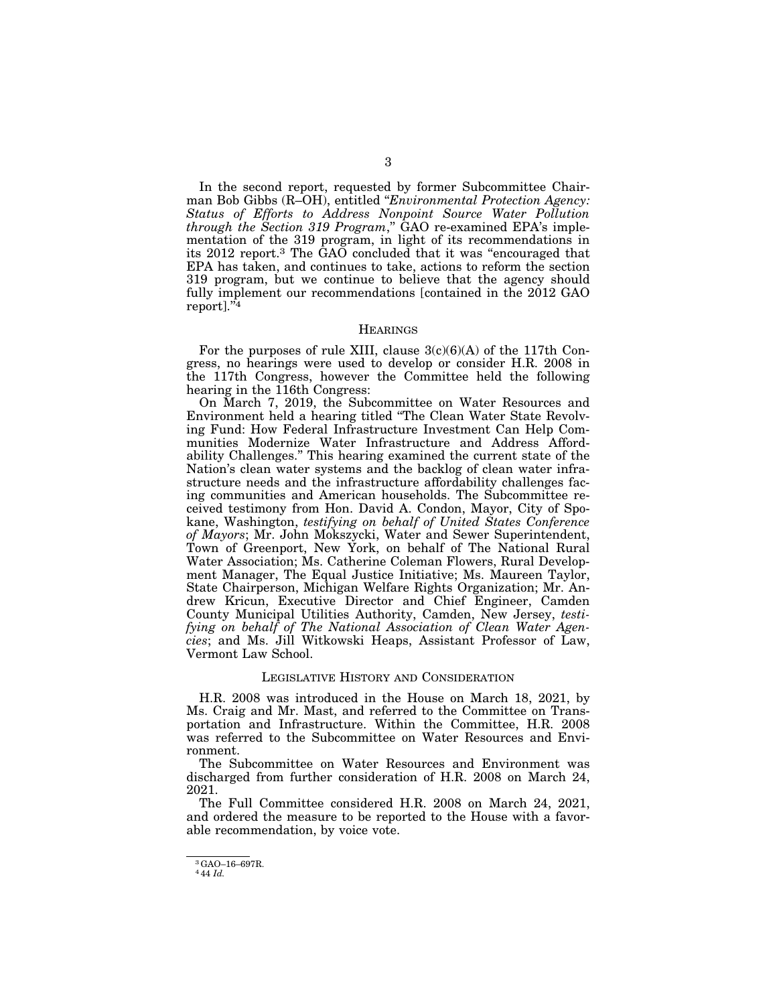In the second report, requested by former Subcommittee Chairman Bob Gibbs (R–OH), entitled "*Environmental Protection Agency*: *Status of Efforts to Address Nonpoint Source Water Pollution through the Section 319 Program*,'' GAO re-examined EPA's implementation of the 319 program, in light of its recommendations in its 2012 report.3 The GAO concluded that it was ''encouraged that EPA has taken, and continues to take, actions to reform the section 319 program, but we continue to believe that the agency should fully implement our recommendations [contained in the 2012 GAO report].''4

#### **HEARINGS**

For the purposes of rule XIII, clause  $3(c)(6)(A)$  of the 117th Congress, no hearings were used to develop or consider H.R. 2008 in the 117th Congress, however the Committee held the following hearing in the 116th Congress:

On March 7, 2019, the Subcommittee on Water Resources and Environment held a hearing titled ''The Clean Water State Revolving Fund: How Federal Infrastructure Investment Can Help Communities Modernize Water Infrastructure and Address Affordability Challenges.'' This hearing examined the current state of the Nation's clean water systems and the backlog of clean water infrastructure needs and the infrastructure affordability challenges facing communities and American households. The Subcommittee received testimony from Hon. David A. Condon, Mayor, City of Spokane, Washington, *testifying on behalf of United States Conference of Mayors*; Mr. John Mokszycki, Water and Sewer Superintendent, Town of Greenport, New York, on behalf of The National Rural Water Association; Ms. Catherine Coleman Flowers, Rural Development Manager, The Equal Justice Initiative; Ms. Maureen Taylor, State Chairperson, Michigan Welfare Rights Organization; Mr. Andrew Kricun, Executive Director and Chief Engineer, Camden County Municipal Utilities Authority, Camden, New Jersey, *testifying on behalf of The National Association of Clean Water Agencies*; and Ms. Jill Witkowski Heaps, Assistant Professor of Law, Vermont Law School.

#### LEGISLATIVE HISTORY AND CONSIDERATION

H.R. 2008 was introduced in the House on March 18, 2021, by Ms. Craig and Mr. Mast, and referred to the Committee on Transportation and Infrastructure. Within the Committee, H.R. 2008 was referred to the Subcommittee on Water Resources and Environment.

The Subcommittee on Water Resources and Environment was discharged from further consideration of H.R. 2008 on March 24, 2021.

The Full Committee considered H.R. 2008 on March 24, 2021, and ordered the measure to be reported to the House with a favorable recommendation, by voice vote.

<sup>3</sup>GAO–16–697R.

<sup>4</sup> 44 *Id.*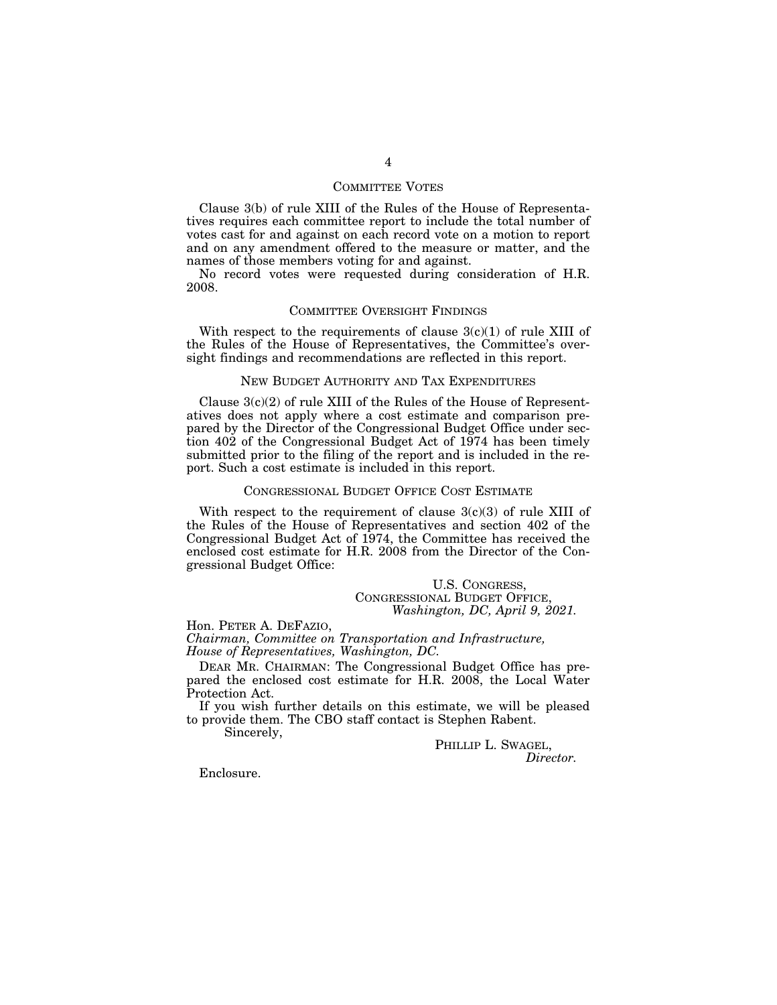# COMMITTEE VOTES

Clause 3(b) of rule XIII of the Rules of the House of Representatives requires each committee report to include the total number of votes cast for and against on each record vote on a motion to report and on any amendment offered to the measure or matter, and the names of those members voting for and against.

No record votes were requested during consideration of H.R. 2008.

#### COMMITTEE OVERSIGHT FINDINGS

With respect to the requirements of clause  $3(c)(1)$  of rule XIII of the Rules of the House of Representatives, the Committee's oversight findings and recommendations are reflected in this report.

# NEW BUDGET AUTHORITY AND TAX EXPENDITURES

Clause  $3(c)(2)$  of rule XIII of the Rules of the House of Representatives does not apply where a cost estimate and comparison prepared by the Director of the Congressional Budget Office under section 402 of the Congressional Budget Act of 1974 has been timely submitted prior to the filing of the report and is included in the report. Such a cost estimate is included in this report.

## CONGRESSIONAL BUDGET OFFICE COST ESTIMATE

With respect to the requirement of clause  $3(c)(3)$  of rule XIII of the Rules of the House of Representatives and section 402 of the Congressional Budget Act of 1974, the Committee has received the enclosed cost estimate for H.R. 2008 from the Director of the Congressional Budget Office:

# U.S. CONGRESS, CONGRESSIONAL BUDGET OFFICE, *Washington, DC, April 9, 2021.*

Hon. PETER A. DEFAZIO,

*Chairman, Committee on Transportation and Infrastructure, House of Representatives, Washington, DC.* 

DEAR MR. CHAIRMAN: The Congressional Budget Office has prepared the enclosed cost estimate for H.R. 2008, the Local Water Protection Act.

If you wish further details on this estimate, we will be pleased to provide them. The CBO staff contact is Stephen Rabent.

Sincerely,

PHILLIP L. SWAGEL,<br>*Director.* 

Enclosure.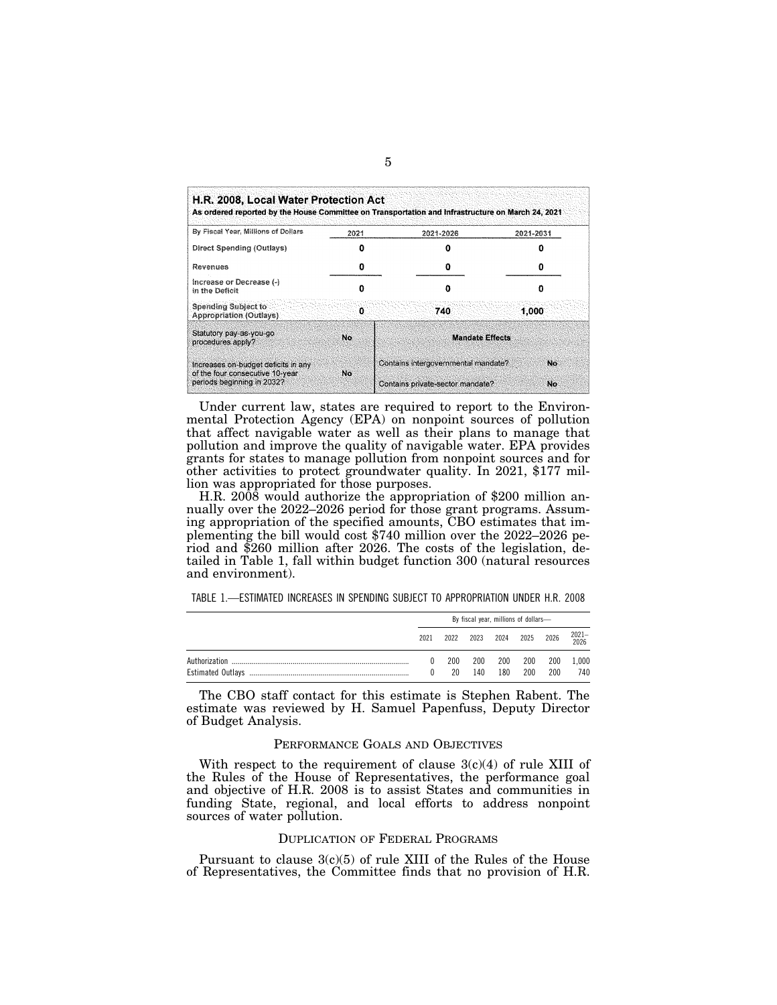| H.R. 2008, Local Water Protection Act                                  |      |                                                                                                   |           |  |  |  |
|------------------------------------------------------------------------|------|---------------------------------------------------------------------------------------------------|-----------|--|--|--|
|                                                                        |      | As ordered reported by the House Committee on Transportation and Infrastructure on March 24, 2021 |           |  |  |  |
| By Fiscal Year, Millions of Dollars                                    | 2021 | 2021-2026                                                                                         | 2021-2031 |  |  |  |
| Direct Spending (Outlays)                                              |      |                                                                                                   |           |  |  |  |
| <b>Revenues</b>                                                        |      |                                                                                                   |           |  |  |  |
| Increase or Decrease (-)<br>in the Deficit                             |      |                                                                                                   |           |  |  |  |
| Spending Subject to<br><b>Appropriation (Outlays)</b>                  | ٥    | 740                                                                                               | 1.000     |  |  |  |
| Statutory pay-as-you-go<br>procedures apply?                           | No   | <b>Mandate Effects</b>                                                                            |           |  |  |  |
| Increases on-budget deficits in any<br>of the four consecutive 10-year | No.  | Contains intergovernmental mandate?                                                               | No.       |  |  |  |
| periods beginning in 2032?                                             |      | Contains private-sector mandate?                                                                  | No        |  |  |  |

Under current law, states are required to report to the Environmental Protection Agency (EPA) on nonpoint sources of pollution that affect navigable water as well as their plans to manage that pollution and improve the quality of navigable water. EPA provides grants for states to manage pollution from nonpoint sources and for other activities to protect groundwater quality. In 2021, \$177 million was appropriated for those purposes.

H.R. 2008 would authorize the appropriation of \$200 million annually over the 2022–2026 period for those grant programs. Assuming appropriation of the specified amounts, CBO estimates that implementing the bill would cost \$740 million over the 2022–2026 period and \$260 million after 2026. The costs of the legislation, detailed in Table 1, fall within budget function 300 (natural resources and environment).

TABLE 1.—ESTIMATED INCREASES IN SPENDING SUBJECT TO APPROPRIATION UNDER H.R. 2008

|               | By fiscal year, millions of dollars- |           |            |            |            |            |               |
|---------------|--------------------------------------|-----------|------------|------------|------------|------------|---------------|
|               | 2021                                 | 2022      | 2023 2024  |            | 2025       | 2026       | 2021-<br>2026 |
| Authorization | 0                                    | 200<br>20 | 200<br>140 | 200<br>180 | 200<br>200 | 200<br>200 | 1.000<br>740  |

The CBO staff contact for this estimate is Stephen Rabent. The estimate was reviewed by H. Samuel Papenfuss, Deputy Director of Budget Analysis.

## PERFORMANCE GOALS AND OBJECTIVES

With respect to the requirement of clause  $3(c)(4)$  of rule XIII of the Rules of the House of Representatives, the performance goal and objective of H.R. 2008 is to assist States and communities in funding State, regional, and local efforts to address nonpoint sources of water pollution.

# DUPLICATION OF FEDERAL PROGRAMS

Pursuant to clause 3(c)(5) of rule XIII of the Rules of the House of Representatives, the Committee finds that no provision of H.R.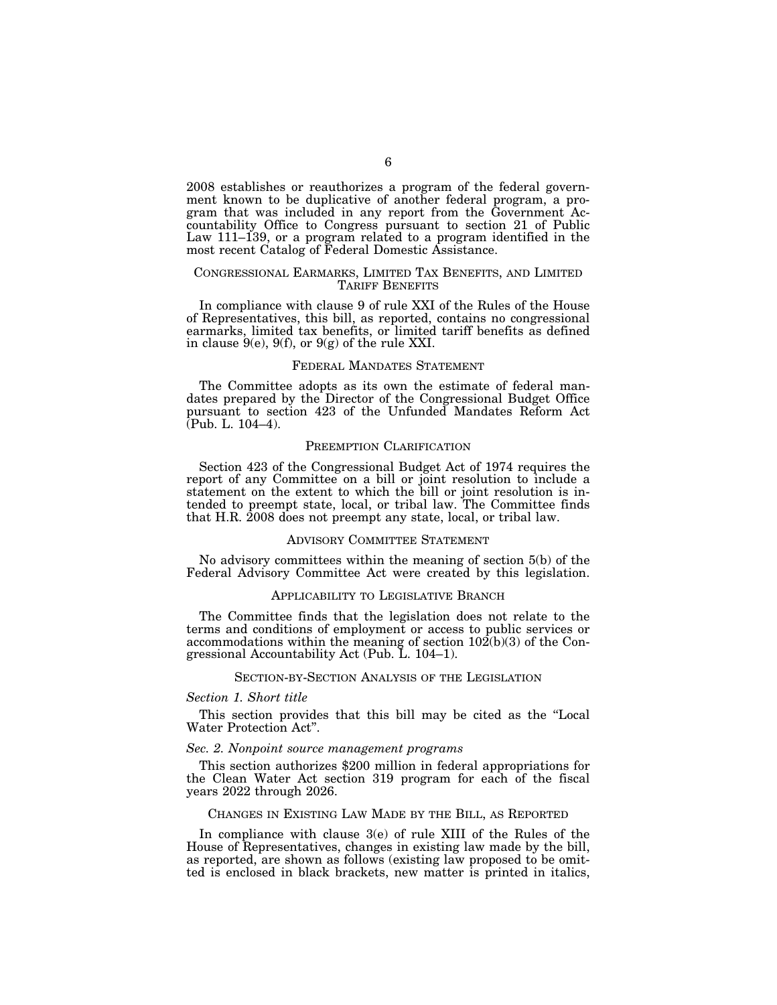2008 establishes or reauthorizes a program of the federal government known to be duplicative of another federal program, a program that was included in any report from the Government Accountability Office to Congress pursuant to section 21 of Public Law 111–139, or a program related to a program identified in the most recent Catalog of Federal Domestic Assistance.

## CONGRESSIONAL EARMARKS, LIMITED TAX BENEFITS, AND LIMITED TARIFF BENEFITS

In compliance with clause 9 of rule XXI of the Rules of the House of Representatives, this bill, as reported, contains no congressional earmarks, limited tax benefits, or limited tariff benefits as defined in clause  $9(e)$ ,  $9(f)$ , or  $9(g)$  of the rule XXI.

#### FEDERAL MANDATES STATEMENT

The Committee adopts as its own the estimate of federal mandates prepared by the Director of the Congressional Budget Office pursuant to section 423 of the Unfunded Mandates Reform Act (Pub. L. 104–4).

# PREEMPTION CLARIFICATION

Section 423 of the Congressional Budget Act of 1974 requires the report of any Committee on a bill or joint resolution to include a statement on the extent to which the bill or joint resolution is intended to preempt state, local, or tribal law. The Committee finds that H.R. 2008 does not preempt any state, local, or tribal law.

#### ADVISORY COMMITTEE STATEMENT

No advisory committees within the meaning of section 5(b) of the Federal Advisory Committee Act were created by this legislation.

# APPLICABILITY TO LEGISLATIVE BRANCH

The Committee finds that the legislation does not relate to the terms and conditions of employment or access to public services or accommodations within the meaning of section  $10\overline{2}(b)(3)$  of the Congressional Accountability Act (Pub. L. 104–1).

#### SECTION-BY-SECTION ANALYSIS OF THE LEGISLATION

## *Section 1. Short title*

This section provides that this bill may be cited as the ''Local Water Protection Act''.

#### *Sec. 2. Nonpoint source management programs*

This section authorizes \$200 million in federal appropriations for the Clean Water Act section 319 program for each of the fiscal years 2022 through 2026.

#### CHANGES IN EXISTING LAW MADE BY THE BILL, AS REPORTED

In compliance with clause 3(e) of rule XIII of the Rules of the House of Representatives, changes in existing law made by the bill, as reported, are shown as follows (existing law proposed to be omitted is enclosed in black brackets, new matter is printed in italics,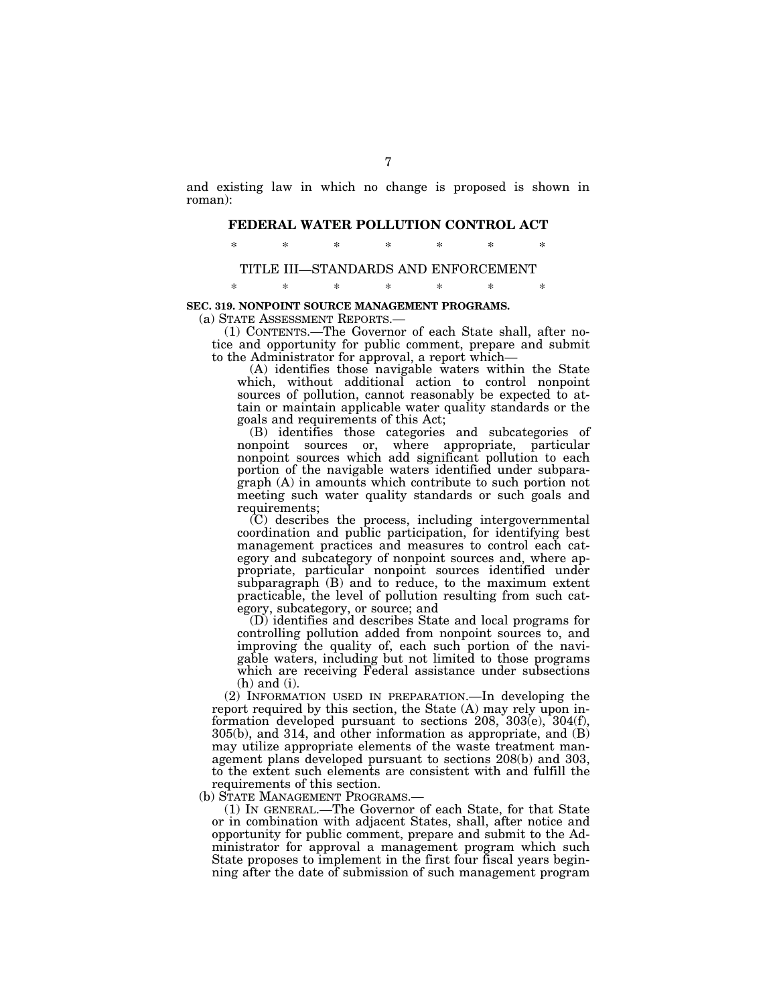and existing law in which no change is proposed is shown in roman):

# **FEDERAL WATER POLLUTION CONTROL ACT**

# \* \* \* \* \* \* \*

# TITLE III—STANDARDS AND ENFORCEMENT

\* \* \* \* \* \* \*

# **SEC. 319. NONPOINT SOURCE MANAGEMENT PROGRAMS.**

(a) STATE ASSESSMENT REPORTS.— (1) CONTENTS.—The Governor of each State shall, after notice and opportunity for public comment, prepare and submit to the Administrator for approval, a report which—

(A) identifies those navigable waters within the State which, without additional action to control nonpoint sources of pollution, cannot reasonably be expected to attain or maintain applicable water quality standards or the goals and requirements of this Act;

(B) identifies those categories and subcategories of nonpoint sources or, where appropriate, particular nonpoint sources which add significant pollution to each portion of the navigable waters identified under subparagraph (A) in amounts which contribute to such portion not meeting such water quality standards or such goals and requirements;

(C) describes the process, including intergovernmental coordination and public participation, for identifying best management practices and measures to control each category and subcategory of nonpoint sources and, where appropriate, particular nonpoint sources identified under subparagraph (B) and to reduce, to the maximum extent practicable, the level of pollution resulting from such category, subcategory, or source; and

(D) identifies and describes State and local programs for controlling pollution added from nonpoint sources to, and improving the quality of, each such portion of the navigable waters, including but not limited to those programs which are receiving Federal assistance under subsections (h) and (i).

(2) INFORMATION USED IN PREPARATION.—In developing the report required by this section, the State (A) may rely upon information developed pursuant to sections 208, 303(e), 304(f),  $305(b)$ , and  $314$ , and other information as appropriate, and  $(B)$ may utilize appropriate elements of the waste treatment management plans developed pursuant to sections 208(b) and 303, to the extent such elements are consistent with and fulfill the requirements of this section.<br>(b) STATE MANAGEMENT PROGRAMS.-

(1) IN GENERAL.—The Governor of each State, for that State or in combination with adjacent States, shall, after notice and opportunity for public comment, prepare and submit to the Administrator for approval a management program which such State proposes to implement in the first four fiscal years beginning after the date of submission of such management program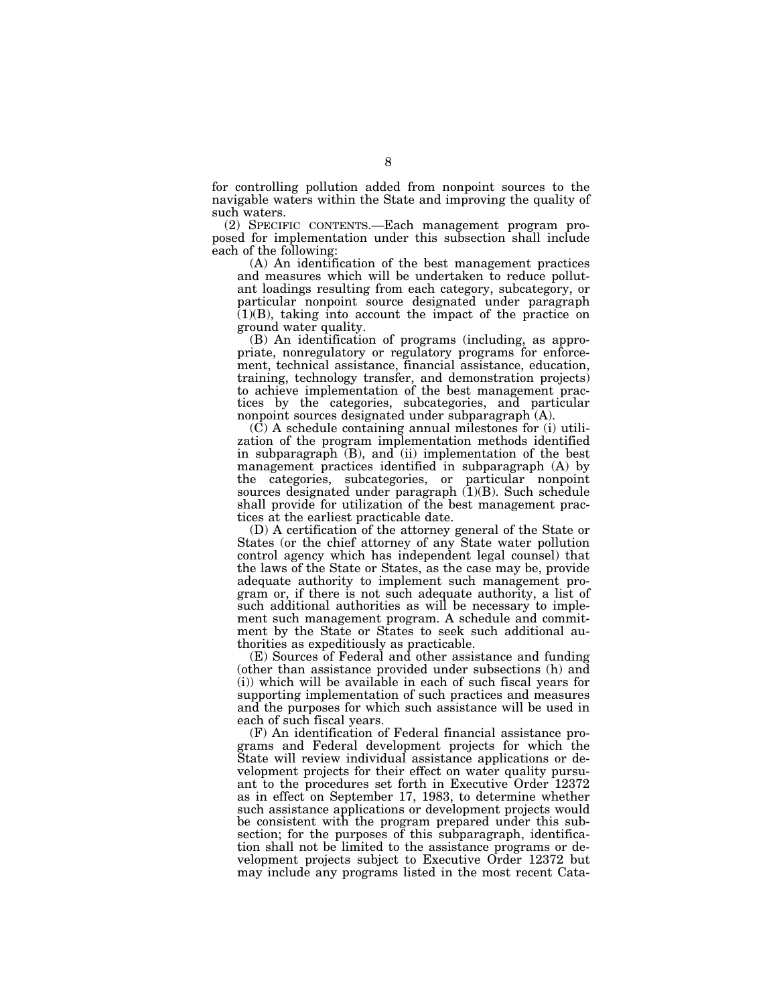for controlling pollution added from nonpoint sources to the navigable waters within the State and improving the quality of such waters.

(2) SPECIFIC CONTENTS.—Each management program proposed for implementation under this subsection shall include each of the following:

(A) An identification of the best management practices and measures which will be undertaken to reduce pollutant loadings resulting from each category, subcategory, or particular nonpoint source designated under paragraph  $(1)(B)$ , taking into account the impact of the practice on ground water quality.

(B) An identification of programs (including, as appropriate, nonregulatory or regulatory programs for enforcement, technical assistance, financial assistance, education, training, technology transfer, and demonstration projects) to achieve implementation of the best management practices by the categories, subcategories, and particular nonpoint sources designated under subparagraph (A).

(C) A schedule containing annual milestones for (i) utilization of the program implementation methods identified in subparagraph (B), and (ii) implementation of the best management practices identified in subparagraph (A) by the categories, subcategories, or particular nonpoint sources designated under paragraph (1)(B). Such schedule shall provide for utilization of the best management practices at the earliest practicable date.

(D) A certification of the attorney general of the State or States (or the chief attorney of any State water pollution control agency which has independent legal counsel) that the laws of the State or States, as the case may be, provide adequate authority to implement such management program or, if there is not such adequate authority, a list of such additional authorities as will be necessary to implement such management program. A schedule and commitment by the State or States to seek such additional authorities as expeditiously as practicable.

(E) Sources of Federal and other assistance and funding (other than assistance provided under subsections (h) and (i)) which will be available in each of such fiscal years for supporting implementation of such practices and measures and the purposes for which such assistance will be used in each of such fiscal years.

(F) An identification of Federal financial assistance programs and Federal development projects for which the State will review individual assistance applications or development projects for their effect on water quality pursuant to the procedures set forth in Executive Order 12372 as in effect on September 17, 1983, to determine whether such assistance applications or development projects would be consistent with the program prepared under this subsection; for the purposes of this subparagraph, identification shall not be limited to the assistance programs or development projects subject to Executive Order 12372 but may include any programs listed in the most recent Cata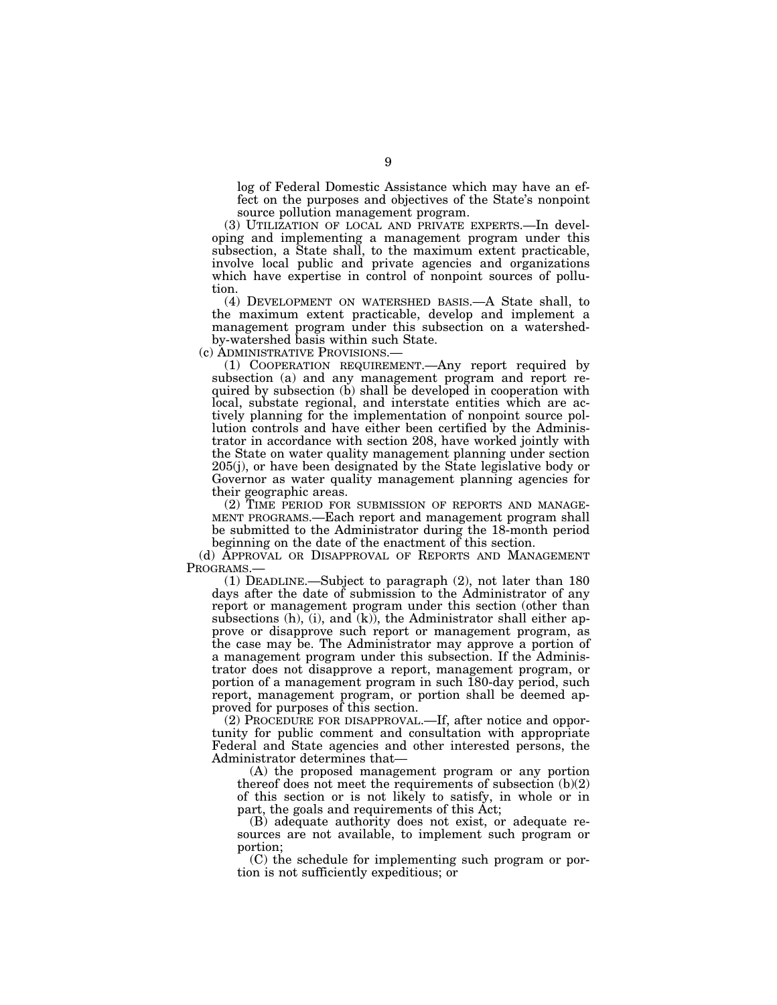log of Federal Domestic Assistance which may have an effect on the purposes and objectives of the State's nonpoint source pollution management program.

(3) UTILIZATION OF LOCAL AND PRIVATE EXPERTS.—In developing and implementing a management program under this subsection, a State shall, to the maximum extent practicable, involve local public and private agencies and organizations which have expertise in control of nonpoint sources of pollution.

(4) DEVELOPMENT ON WATERSHED BASIS.—A State shall, to the maximum extent practicable, develop and implement a management program under this subsection on a watershedby-watershed basis within such State.

(c) ADMINISTRATIVE PROVISIONS.—

(1) COOPERATION REQUIREMENT.—Any report required by subsection (a) and any management program and report required by subsection (b) shall be developed in cooperation with local, substate regional, and interstate entities which are actively planning for the implementation of nonpoint source pollution controls and have either been certified by the Administrator in accordance with section 208, have worked jointly with the State on water quality management planning under section 205(j), or have been designated by the State legislative body or Governor as water quality management planning agencies for their geographic areas.

(2) TIME PERIOD FOR SUBMISSION OF REPORTS AND MANAGE- MENT PROGRAMS.—Each report and management program shall be submitted to the Administrator during the 18-month period beginning on the date of the enactment of this section.

(d) APPROVAL OR DISAPPROVAL OF REPORTS AND MANAGEMENT<br>Programs.—

(1) DEADLINE.—Subject to paragraph  $(2)$ , not later than 180 days after the date of submission to the Administrator of any report or management program under this section (other than subsections  $(h)$ ,  $(i)$ , and  $(k)$ , the Administrator shall either approve or disapprove such report or management program, as the case may be. The Administrator may approve a portion of a management program under this subsection. If the Administrator does not disapprove a report, management program, or portion of a management program in such 180-day period, such report, management program, or portion shall be deemed approved for purposes of this section.

(2) PROCEDURE FOR DISAPPROVAL.—If, after notice and opportunity for public comment and consultation with appropriate Federal and State agencies and other interested persons, the Administrator determines that—

(A) the proposed management program or any portion thereof does not meet the requirements of subsection (b)(2) of this section or is not likely to satisfy, in whole or in part, the goals and requirements of this Act;

(B) adequate authority does not exist, or adequate resources are not available, to implement such program or portion;

(C) the schedule for implementing such program or portion is not sufficiently expeditious; or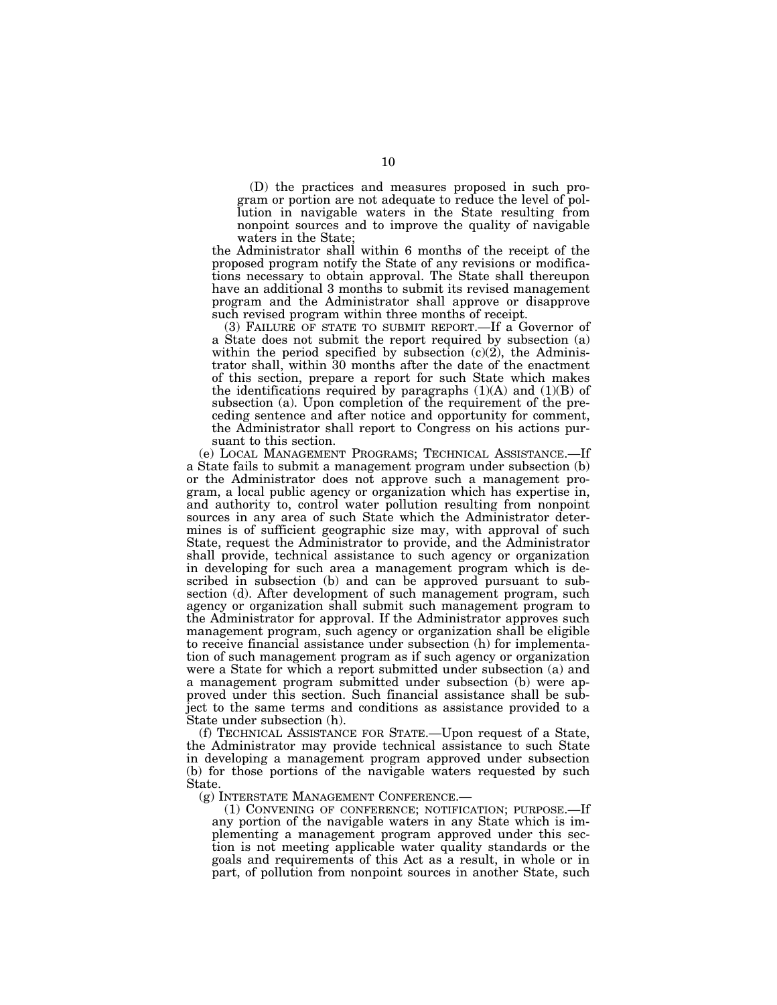(D) the practices and measures proposed in such program or portion are not adequate to reduce the level of pollution in navigable waters in the State resulting from nonpoint sources and to improve the quality of navigable waters in the State;

the Administrator shall within 6 months of the receipt of the proposed program notify the State of any revisions or modifications necessary to obtain approval. The State shall thereupon have an additional 3 months to submit its revised management program and the Administrator shall approve or disapprove such revised program within three months of receipt.

(3) FAILURE OF STATE TO SUBMIT REPORT.—If a Governor of a State does not submit the report required by subsection (a) within the period specified by subsection  $(c)(2)$ , the Administrator shall, within 30 months after the date of the enactment of this section, prepare a report for such State which makes the identifications required by paragraphs  $(1)(A)$  and  $(1)(B)$  of subsection (a). Upon completion of the requirement of the preceding sentence and after notice and opportunity for comment, the Administrator shall report to Congress on his actions pursuant to this section.

(e) LOCAL MANAGEMENT PROGRAMS; TECHNICAL ASSISTANCE.—If a State fails to submit a management program under subsection (b) or the Administrator does not approve such a management program, a local public agency or organization which has expertise in, and authority to, control water pollution resulting from nonpoint sources in any area of such State which the Administrator determines is of sufficient geographic size may, with approval of such State, request the Administrator to provide, and the Administrator shall provide, technical assistance to such agency or organization in developing for such area a management program which is described in subsection (b) and can be approved pursuant to subsection (d). After development of such management program, such agency or organization shall submit such management program to the Administrator for approval. If the Administrator approves such management program, such agency or organization shall be eligible to receive financial assistance under subsection (h) for implementation of such management program as if such agency or organization were a State for which a report submitted under subsection (a) and a management program submitted under subsection (b) were approved under this section. Such financial assistance shall be subject to the same terms and conditions as assistance provided to a State under subsection (h).

(f) TECHNICAL ASSISTANCE FOR STATE.—Upon request of a State, the Administrator may provide technical assistance to such State in developing a management program approved under subsection (b) for those portions of the navigable waters requested by such State.

(g) INTERSTATE MANAGEMENT CONFERENCE.— (1) CONVENING OF CONFERENCE; NOTIFICATION; PURPOSE.—If any portion of the navigable waters in any State which is implementing a management program approved under this section is not meeting applicable water quality standards or the goals and requirements of this Act as a result, in whole or in part, of pollution from nonpoint sources in another State, such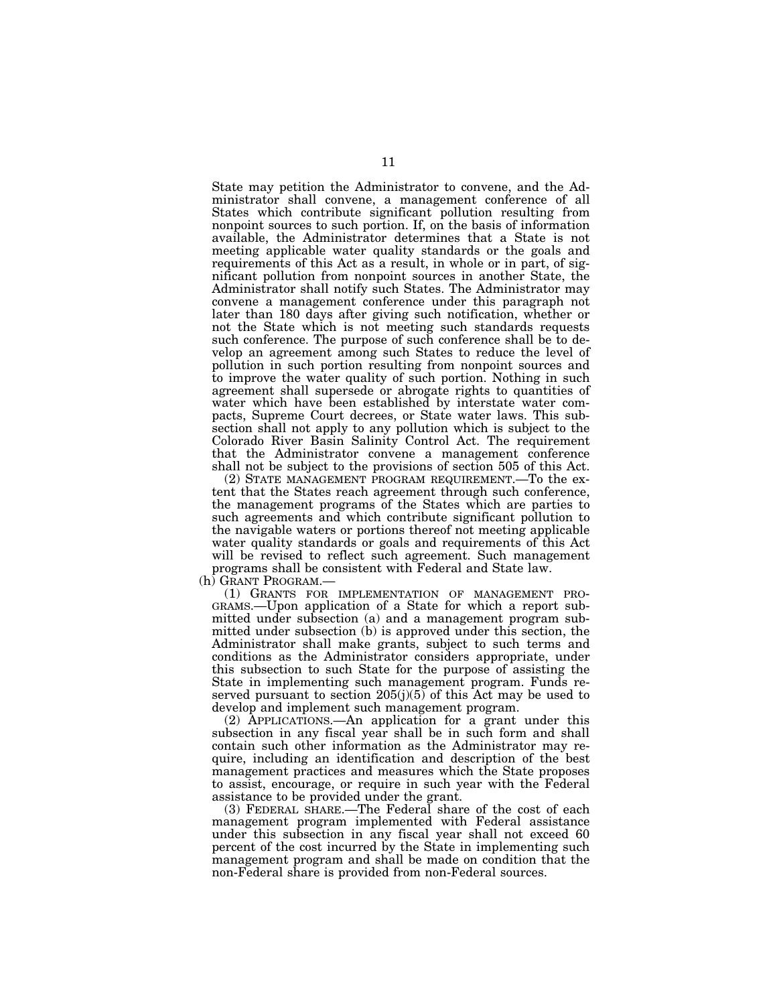State may petition the Administrator to convene, and the Administrator shall convene, a management conference of all States which contribute significant pollution resulting from nonpoint sources to such portion. If, on the basis of information available, the Administrator determines that a State is not meeting applicable water quality standards or the goals and requirements of this Act as a result, in whole or in part, of significant pollution from nonpoint sources in another State, the Administrator shall notify such States. The Administrator may convene a management conference under this paragraph not later than 180 days after giving such notification, whether or not the State which is not meeting such standards requests such conference. The purpose of such conference shall be to develop an agreement among such States to reduce the level of pollution in such portion resulting from nonpoint sources and to improve the water quality of such portion. Nothing in such agreement shall supersede or abrogate rights to quantities of water which have been established by interstate water compacts, Supreme Court decrees, or State water laws. This subsection shall not apply to any pollution which is subject to the Colorado River Basin Salinity Control Act. The requirement that the Administrator convene a management conference shall not be subject to the provisions of section 505 of this Act.

(2) STATE MANAGEMENT PROGRAM REQUIREMENT.—To the extent that the States reach agreement through such conference, the management programs of the States which are parties to such agreements and which contribute significant pollution to the navigable waters or portions thereof not meeting applicable water quality standards or goals and requirements of this Act will be revised to reflect such agreement. Such management programs shall be consistent with Federal and State law.

(h) GRANT PROGRAM.—

(1) GRANTS FOR IMPLEMENTATION OF MANAGEMENT PRO- GRAMS.—Upon application of a State for which a report submitted under subsection (a) and a management program submitted under subsection (b) is approved under this section, the Administrator shall make grants, subject to such terms and conditions as the Administrator considers appropriate, under this subsection to such State for the purpose of assisting the State in implementing such management program. Funds reserved pursuant to section 205(j)(5) of this Act may be used to develop and implement such management program.

(2) APPLICATIONS.—An application for a grant under this subsection in any fiscal year shall be in such form and shall contain such other information as the Administrator may require, including an identification and description of the best management practices and measures which the State proposes to assist, encourage, or require in such year with the Federal assistance to be provided under the grant.

(3) FEDERAL SHARE.—The Federal share of the cost of each management program implemented with Federal assistance under this subsection in any fiscal year shall not exceed 60 percent of the cost incurred by the State in implementing such management program and shall be made on condition that the non-Federal share is provided from non-Federal sources.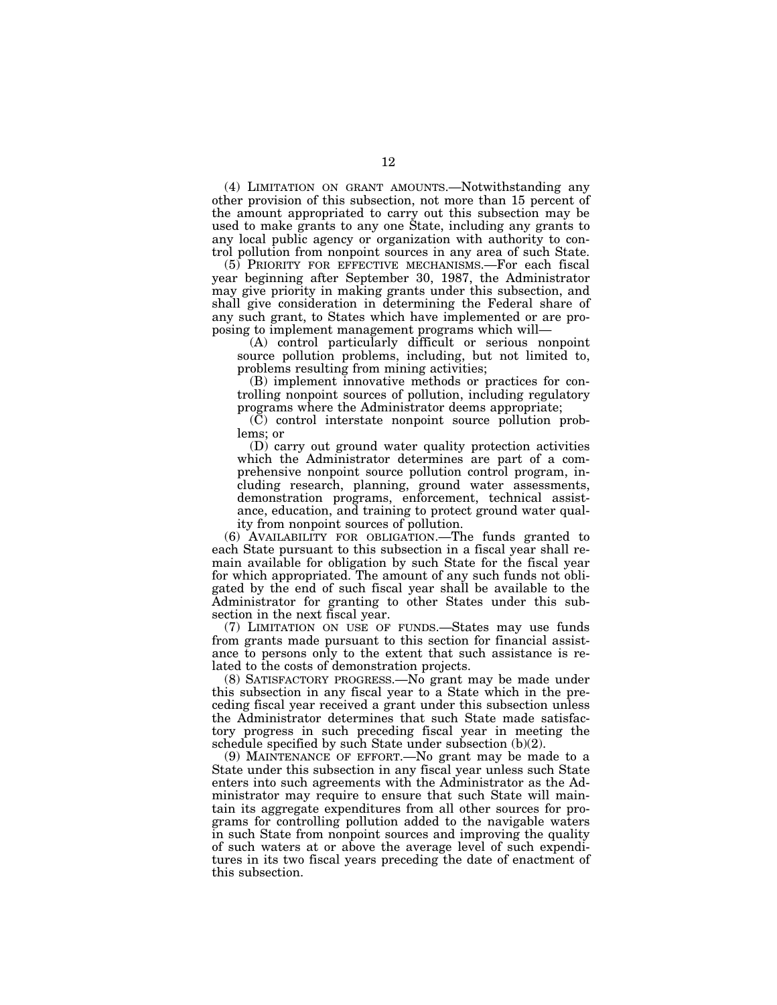(4) LIMITATION ON GRANT AMOUNTS.—Notwithstanding any other provision of this subsection, not more than 15 percent of the amount appropriated to carry out this subsection may be used to make grants to any one State, including any grants to any local public agency or organization with authority to control pollution from nonpoint sources in any area of such State.

(5) PRIORITY FOR EFFECTIVE MECHANISMS.—For each fiscal year beginning after September 30, 1987, the Administrator may give priority in making grants under this subsection, and shall give consideration in determining the Federal share of any such grant, to States which have implemented or are proposing to implement management programs which will—

(A) control particularly difficult or serious nonpoint source pollution problems, including, but not limited to, problems resulting from mining activities;

(B) implement innovative methods or practices for controlling nonpoint sources of pollution, including regulatory programs where the Administrator deems appropriate;

(C) control interstate nonpoint source pollution problems; or

(D) carry out ground water quality protection activities which the Administrator determines are part of a comprehensive nonpoint source pollution control program, including research, planning, ground water assessments, demonstration programs, enforcement, technical assistance, education, and training to protect ground water quality from nonpoint sources of pollution.

(6) AVAILABILITY FOR OBLIGATION.—The funds granted to each State pursuant to this subsection in a fiscal year shall remain available for obligation by such State for the fiscal year for which appropriated. The amount of any such funds not obligated by the end of such fiscal year shall be available to the Administrator for granting to other States under this subsection in the next fiscal year.

(7) LIMITATION ON USE OF FUNDS.—States may use funds from grants made pursuant to this section for financial assistance to persons only to the extent that such assistance is related to the costs of demonstration projects.

(8) SATISFACTORY PROGRESS.—No grant may be made under this subsection in any fiscal year to a State which in the preceding fiscal year received a grant under this subsection unless the Administrator determines that such State made satisfactory progress in such preceding fiscal year in meeting the schedule specified by such State under subsection (b)(2).

(9) MAINTENANCE OF EFFORT.—No grant may be made to a State under this subsection in any fiscal year unless such State enters into such agreements with the Administrator as the Administrator may require to ensure that such State will maintain its aggregate expenditures from all other sources for programs for controlling pollution added to the navigable waters in such State from nonpoint sources and improving the quality of such waters at or above the average level of such expenditures in its two fiscal years preceding the date of enactment of this subsection.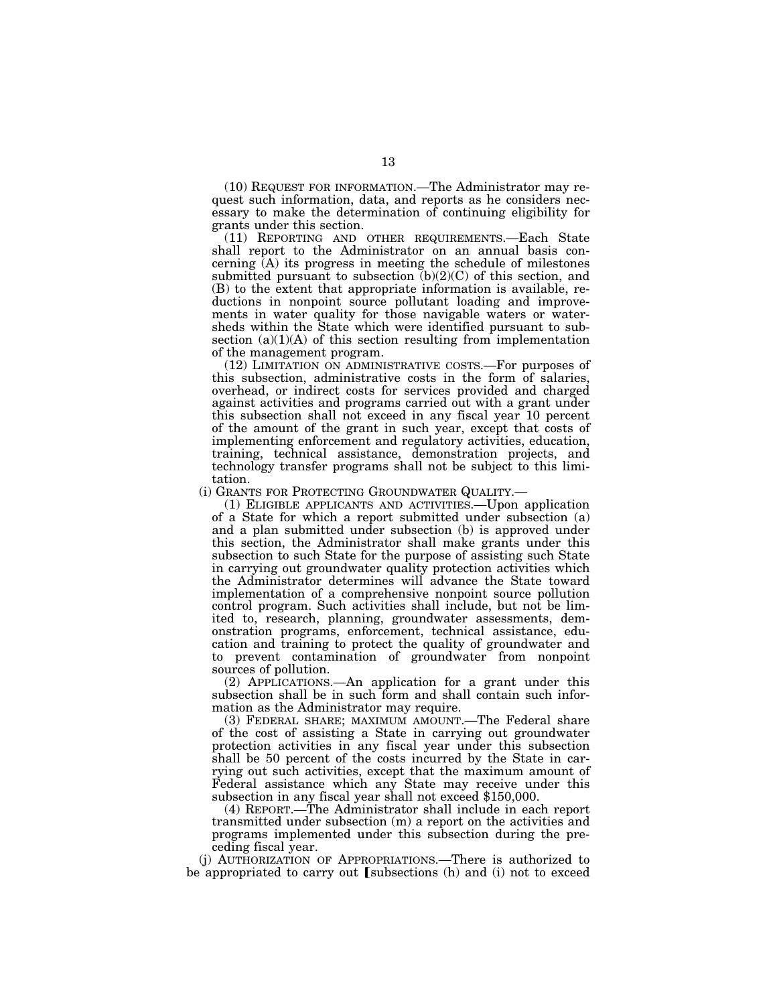(10) REQUEST FOR INFORMATION.—The Administrator may request such information, data, and reports as he considers necessary to make the determination of continuing eligibility for grants under this section.

(11) REPORTING AND OTHER REQUIREMENTS.—Each State shall report to the Administrator on an annual basis concerning  $(A)$  its progress in meeting the schedule of milestones submitted pursuant to subsection  $(b)(2)(C)$  of this section, and (B) to the extent that appropriate information is available, reductions in nonpoint source pollutant loading and improvements in water quality for those navigable waters or watersheds within the State which were identified pursuant to subsection  $(a)(1)(A)$  of this section resulting from implementation of the management program.

(12) LIMITATION ON ADMINISTRATIVE COSTS.—For purposes of this subsection, administrative costs in the form of salaries, overhead, or indirect costs for services provided and charged against activities and programs carried out with a grant under this subsection shall not exceed in any fiscal year 10 percent of the amount of the grant in such year, except that costs of implementing enforcement and regulatory activities, education, training, technical assistance, demonstration projects, and technology transfer programs shall not be subject to this limitation.

(i) GRANTS FOR PROTECTING GROUNDWATER QUALITY.— (1) ELIGIBLE APPLICANTS AND ACTIVITIES.—Upon application of a State for which a report submitted under subsection (a) and a plan submitted under subsection (b) is approved under this section, the Administrator shall make grants under this subsection to such State for the purpose of assisting such State in carrying out groundwater quality protection activities which the Administrator determines will advance the State toward implementation of a comprehensive nonpoint source pollution control program. Such activities shall include, but not be limited to, research, planning, groundwater assessments, demonstration programs, enforcement, technical assistance, education and training to protect the quality of groundwater and to prevent contamination of groundwater from nonpoint sources of pollution.

(2) APPLICATIONS.—An application for a grant under this subsection shall be in such form and shall contain such information as the Administrator may require.

(3) FEDERAL SHARE; MAXIMUM AMOUNT.—The Federal share of the cost of assisting a State in carrying out groundwater protection activities in any fiscal year under this subsection shall be 50 percent of the costs incurred by the State in carrying out such activities, except that the maximum amount of Federal assistance which any State may receive under this subsection in any fiscal year shall not exceed \$150,000.

(4) REPORT.—The Administrator shall include in each report transmitted under subsection (m) a report on the activities and programs implemented under this subsection during the preceding fiscal year.

(j) AUTHORIZATION OF APPROPRIATIONS.—There is authorized to be appropriated to carry out [subsections (h) and (i) not to exceed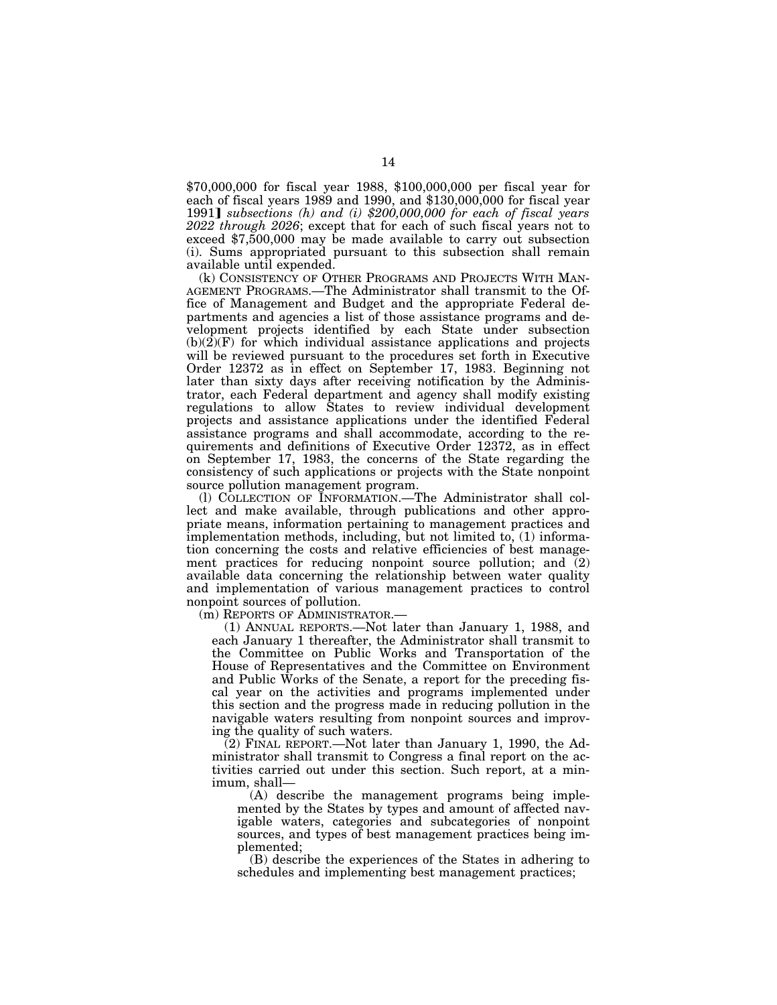\$70,000,000 for fiscal year 1988, \$100,000,000 per fiscal year for each of fiscal years 1989 and 1990, and \$130,000,000 for fiscal year 1991] *subsections (h) and (i) \$200,000,000 for each of fiscal years 2022 through 2026*; except that for each of such fiscal years not to exceed \$7,500,000 may be made available to carry out subsection (i). Sums appropriated pursuant to this subsection shall remain available until expended.

(k) CONSISTENCY OF OTHER PROGRAMS AND PROJECTS WITH MAN-AGEMENT PROGRAMS.—The Administrator shall transmit to the Office of Management and Budget and the appropriate Federal departments and agencies a list of those assistance programs and development projects identified by each State under subsection  $(b)(2)(F)$  for which individual assistance applications and projects will be reviewed pursuant to the procedures set forth in Executive Order 12372 as in effect on September 17, 1983. Beginning not later than sixty days after receiving notification by the Administrator, each Federal department and agency shall modify existing regulations to allow States to review individual development projects and assistance applications under the identified Federal assistance programs and shall accommodate, according to the requirements and definitions of Executive Order 12372, as in effect on September 17, 1983, the concerns of the State regarding the consistency of such applications or projects with the State nonpoint source pollution management program.

(l) COLLECTION OF INFORMATION.—The Administrator shall collect and make available, through publications and other appropriate means, information pertaining to management practices and implementation methods, including, but not limited to, (1) information concerning the costs and relative efficiencies of best management practices for reducing nonpoint source pollution; and (2) available data concerning the relationship between water quality and implementation of various management practices to control nonpoint sources of pollution.

(m) REPORTS OF ADMINISTRATOR.—

(1) ANNUAL REPORTS.—Not later than January 1, 1988, and each January 1 thereafter, the Administrator shall transmit to the Committee on Public Works and Transportation of the House of Representatives and the Committee on Environment and Public Works of the Senate, a report for the preceding fiscal year on the activities and programs implemented under this section and the progress made in reducing pollution in the navigable waters resulting from nonpoint sources and improving the quality of such waters.

(2) FINAL REPORT.—Not later than January 1, 1990, the Administrator shall transmit to Congress a final report on the activities carried out under this section. Such report, at a minimum, shall—

(A) describe the management programs being implemented by the States by types and amount of affected navigable waters, categories and subcategories of nonpoint sources, and types of best management practices being implemented;

(B) describe the experiences of the States in adhering to schedules and implementing best management practices;